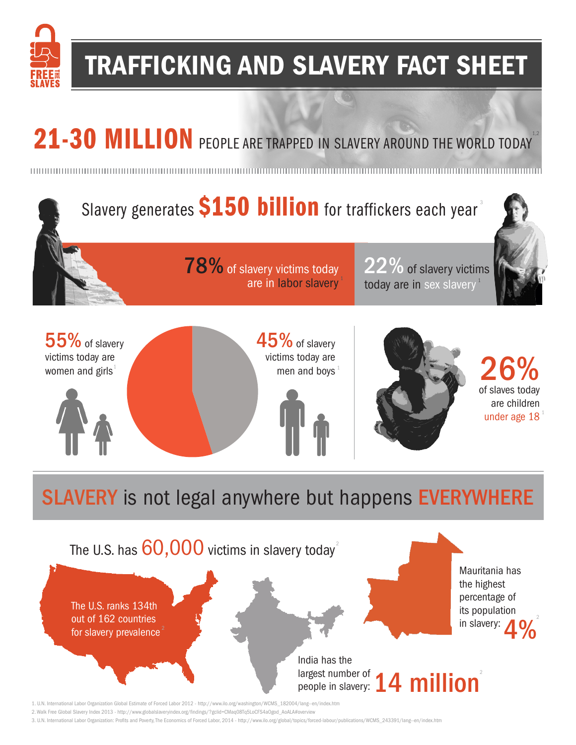

### TRAFFICKING AND SLAVERY FACT SHEET

# 21-30 MILLION PEOPLE ARE TRAPPED IN SLAVERY AROUND THE WORLD TODAY<sup>12</sup>



The U.S. ranks 134th out of 162 countries for slavery prevalence

> India has the largest number of people in slavery:  $\boxed{\phantom{a}}$ 14 million

its population in slavery:

4%

2

1. U.N. International Labor Organization Global Estimate of Forced Labor 2012 - http://www.ilo.org/washington/WCMS\_182004/lang--en/index.htm

2. Walk Free Global Slavery Index 2013 - http://www.globalslaveryindex.org/findings/?gclid=CMaq08Tq5LoCFS4aOgod\_AoALA#overview

3. U.N. International Labor Organization: Profits and Poverty, The Economics of Forced Labor, 2014 - http://www.ilo.org/global/topics/forced-labour/publications/WCMS\_243391/lang--en/index.htm